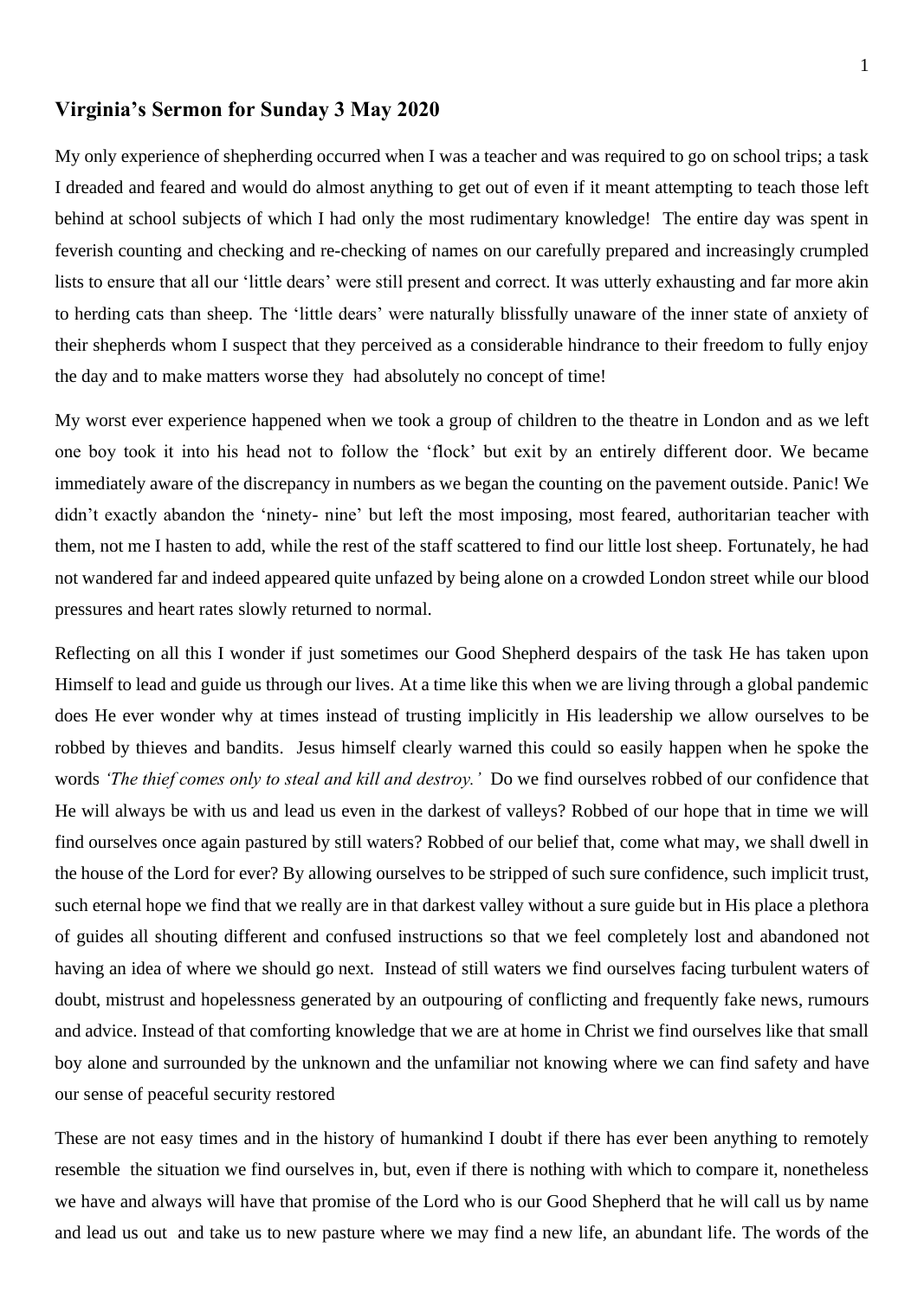## **Virginia's Sermon for Sunday 3 May 2020**

My only experience of shepherding occurred when I was a teacher and was required to go on school trips; a task I dreaded and feared and would do almost anything to get out of even if it meant attempting to teach those left behind at school subjects of which I had only the most rudimentary knowledge! The entire day was spent in feverish counting and checking and re-checking of names on our carefully prepared and increasingly crumpled lists to ensure that all our 'little dears' were still present and correct. It was utterly exhausting and far more akin to herding cats than sheep. The 'little dears' were naturally blissfully unaware of the inner state of anxiety of their shepherds whom I suspect that they perceived as a considerable hindrance to their freedom to fully enjoy the day and to make matters worse they had absolutely no concept of time!

My worst ever experience happened when we took a group of children to the theatre in London and as we left one boy took it into his head not to follow the 'flock' but exit by an entirely different door. We became immediately aware of the discrepancy in numbers as we began the counting on the pavement outside. Panic! We didn't exactly abandon the 'ninety- nine' but left the most imposing, most feared, authoritarian teacher with them, not me I hasten to add, while the rest of the staff scattered to find our little lost sheep. Fortunately, he had not wandered far and indeed appeared quite unfazed by being alone on a crowded London street while our blood pressures and heart rates slowly returned to normal.

Reflecting on all this I wonder if just sometimes our Good Shepherd despairs of the task He has taken upon Himself to lead and guide us through our lives. At a time like this when we are living through a global pandemic does He ever wonder why at times instead of trusting implicitly in His leadership we allow ourselves to be robbed by thieves and bandits. Jesus himself clearly warned this could so easily happen when he spoke the words *'The thief comes only to steal and kill and destroy.'* Do we find ourselves robbed of our confidence that He will always be with us and lead us even in the darkest of valleys? Robbed of our hope that in time we will find ourselves once again pastured by still waters? Robbed of our belief that, come what may, we shall dwell in the house of the Lord for ever? By allowing ourselves to be stripped of such sure confidence, such implicit trust, such eternal hope we find that we really are in that darkest valley without a sure guide but in His place a plethora of guides all shouting different and confused instructions so that we feel completely lost and abandoned not having an idea of where we should go next. Instead of still waters we find ourselves facing turbulent waters of doubt, mistrust and hopelessness generated by an outpouring of conflicting and frequently fake news, rumours and advice. Instead of that comforting knowledge that we are at home in Christ we find ourselves like that small boy alone and surrounded by the unknown and the unfamiliar not knowing where we can find safety and have our sense of peaceful security restored

These are not easy times and in the history of humankind I doubt if there has ever been anything to remotely resemble the situation we find ourselves in, but, even if there is nothing with which to compare it, nonetheless we have and always will have that promise of the Lord who is our Good Shepherd that he will call us by name and lead us out and take us to new pasture where we may find a new life, an abundant life. The words of the